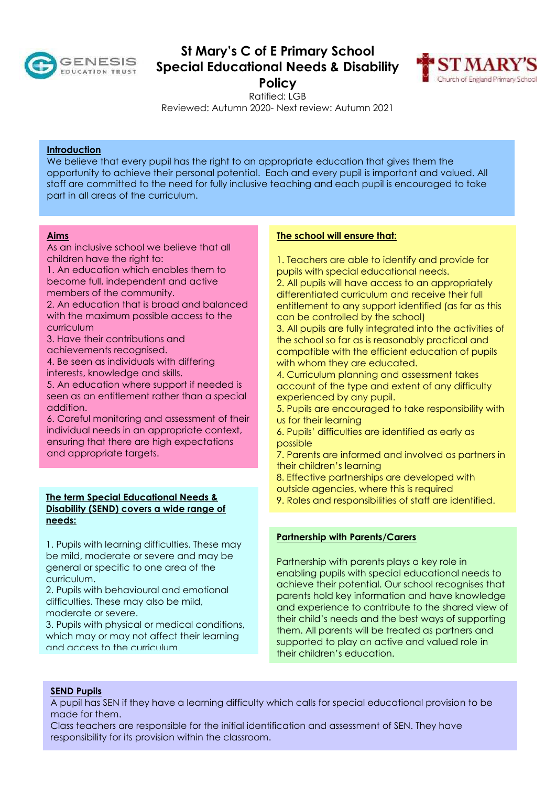

# **St Mary's C of E Primary School Special Educational Needs & Disability Policy**



Ratified: LGB

Reviewed: Autumn 2020- Next review: Autumn 2021

### **Introduction**

We believe that every pupil has the right to an appropriate education that gives them the opportunity to achieve their personal potential. Each and every pupil is important and valued. All staff are committed to the need for fully inclusive teaching and each pupil is encouraged to take part in all areas of the curriculum.

### **Aims**

As an inclusive school we believe that all children have the right to:

1. An education which enables them to become full, independent and active members of the community.

2. An education that is broad and balanced with the maximum possible access to the curriculum

3. Have their contributions and achievements recognised.

4. Be seen as individuals with differing interests, knowledge and skills.

5. An education where support if needed is seen as an entitlement rather than a special addition.

6. Careful monitoring and assessment of their individual needs in an appropriate context, ensuring that there are high expectations and appropriate targets.

### **The term Special Educational Needs & Disability (SEND) covers a wide range of needs:**

1. Pupils with learning difficulties. These may be mild, moderate or severe and may be general or specific to one area of the curriculum.

2. Pupils with behavioural and emotional difficulties. These may also be mild, moderate or severe.

3. Pupils with physical or medical conditions, which may or may not affect their learning and access to the curriculum.

## **The school will ensure that:**

1. Teachers are able to identify and provide for pupils with special educational needs.

2. All pupils will have access to an appropriately differentiated curriculum and receive their full entitlement to any support identified (as far as this can be controlled by the school)

3. All pupils are fully integrated into the activities of the school so far as is reasonably practical and compatible with the efficient education of pupils with whom they are educated.

4. Curriculum planning and assessment takes account of the type and extent of any difficulty experienced by any pupil.

5. Pupils are encouraged to take responsibility with us for their learning

6. Pupils' difficulties are identified as early as possible

- 7. Parents are informed and involved as partners in their children's learning
- 8. Effective partnerships are developed with
- outside agencies, where this is required

9. Roles and responsibilities of staff are identified.

## **Partnership with Parents/Carers**

Partnership with parents plays a key role in enabling pupils with special educational needs to achieve their potential. Our school recognises that parents hold key information and have knowledge and experience to contribute to the shared view of their child's needs and the best ways of supporting them. All parents will be treated as partners and supported to play an active and valued role in their children's education.

#### **SEND Pupils**

A pupil has SEN if they have a learning difficulty which calls for special educational provision to be made for them.

Class teachers are responsible for the initial identification and assessment of SEN. They have responsibility for its provision within the classroom.